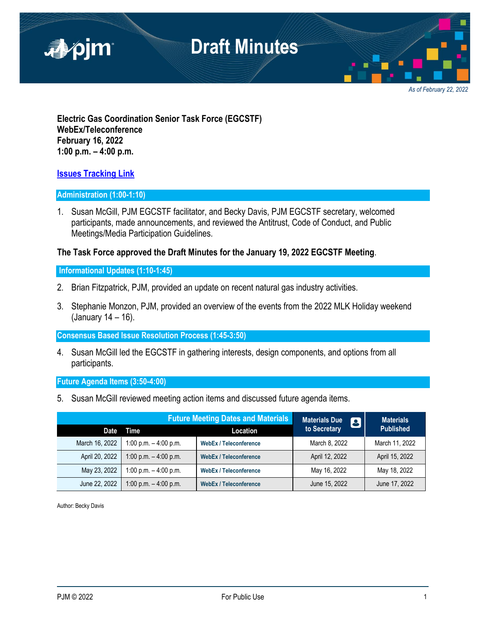

*As of February 22, 2022*

**Electric Gas Coordination Senior Task Force (EGCSTF) WebEx/Teleconference February 16, 2022 1:00 p.m. – 4:00 p.m.**

## **[Issues Tracking Link](https://www.pjm.com/committees-and-groups/issue-tracking/issue-tracking-details.aspx?Issue=e3c8385c-0638-4a1d-a5d2-8b1a2a87c295)**

#### **Administration (1:00-1:10)**

1. Susan McGill, PJM EGCSTF facilitator, and Becky Davis, PJM EGCSTF secretary, welcomed participants, made announcements, and reviewed the Antitrust, Code of Conduct, and Public Meetings/Media Participation Guidelines.

### **The Task Force approved the Draft Minutes for the January 19, 2022 EGCSTF Meeting**.

### **Informational Updates (1:10-1:45)**

- 2. Brian Fitzpatrick, PJM, provided an update on recent natural gas industry activities.
- 3. Stephanie Monzon, PJM, provided an overview of the events from the 2022 MLK Holiday weekend (January 14 – 16).

#### **Consensus Based Issue Resolution Process (1:45-3:50)**

4. Susan McGill led the EGCSTF in gathering interests, design components, and options from all participants.

#### **Future Agenda Items (3:50-4:00)**

5. Susan McGill reviewed meeting action items and discussed future agenda items.

| <b>Future Meeting Dates and Materials</b> |                         |                               | <b>Materials Due</b><br><b>13</b> | <b>Materials</b> |
|-------------------------------------------|-------------------------|-------------------------------|-----------------------------------|------------------|
| Date                                      | Time                    | Location                      | to Secretary                      | <b>Published</b> |
| March 16, 2022                            | 1:00 p.m. $-$ 4:00 p.m. | <b>WebEx / Teleconference</b> | March 8, 2022                     | March 11, 2022   |
| April 20, 2022                            | 1:00 p.m. $-$ 4:00 p.m. | <b>WebEx / Teleconference</b> | April 12, 2022                    | April 15, 2022   |
| May 23, 2022                              | 1:00 p.m. $-$ 4:00 p.m. | <b>WebEx / Teleconference</b> | May 16, 2022                      | May 18, 2022     |
| June 22, 2022                             | 1:00 p.m. $-$ 4:00 p.m. | <b>WebEx / Teleconference</b> | June 15, 2022                     | June 17, 2022    |

Author: Becky Davis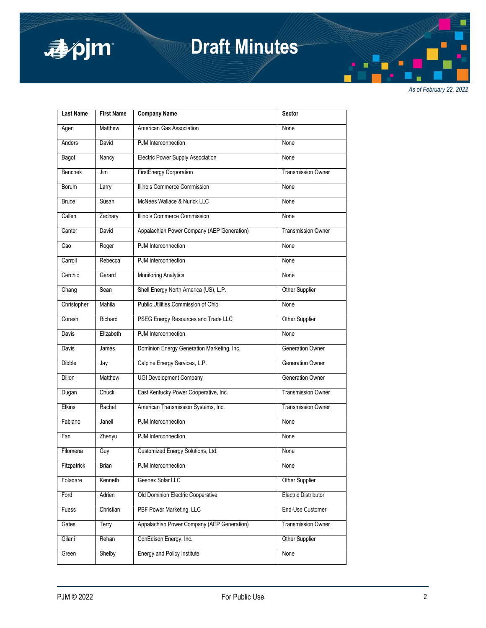

## **Draft Minutes**

*As of February 22, 2022*

| <b>Last Name</b>   | <b>First Name</b> | <b>Company Name</b>                        | <b>Sector</b>             |
|--------------------|-------------------|--------------------------------------------|---------------------------|
| Agen               | Matthew           | American Gas Association                   | None                      |
| Anders             | David             | PJM Interconnection                        | None                      |
| Bagot              | Nancy             | Electric Power Supply Association          | None                      |
| <b>Benchek</b>     | Jim               | FirstEnergy Corporation                    | <b>Transmission Owner</b> |
| Borum              | Larry             | Illinois Commerce Commission               | None                      |
| <b>Bruce</b>       | Susan             | McNees Wallace & Nurick LLC                | None                      |
| Callen             | Zachary           | Illinois Commerce Commission               | None                      |
| Canter             | David             | Appalachian Power Company (AEP Generation) | <b>Transmission Owner</b> |
| Cao                | Roger             | PJM Interconnection                        | None                      |
| Carroll            | Rebecca           | PJM Interconnection                        | None                      |
| Cerchio            | Gerard            | <b>Monitoring Analytics</b>                | None                      |
| Chang              | Sean              | Shell Energy North America (US), L.P.      | Other Supplier            |
| Christopher        | Mahila            | Public Utilities Commission of Ohio        | None                      |
| Corash             | Richard           | PSEG Energy Resources and Trade LLC        | Other Supplier            |
| Davis              | Elizabeth         | PJM Interconnection                        | None                      |
| Davis              | James             | Dominion Energy Generation Marketing, Inc. | Generation Owner          |
| <b>Dibble</b>      | Jay               | Calpine Energy Services, L.P.              | Generation Owner          |
| <b>Dillon</b>      | Matthew           | <b>UGI Development Company</b>             | <b>Generation Owner</b>   |
| Dugan              | Chuck             | East Kentucky Power Cooperative, Inc.      | <b>Transmission Owner</b> |
| <b>Elkins</b>      | Rachel            | American Transmission Systems, Inc.        | <b>Transmission Owner</b> |
| Fabiano            | Janell            | PJM Interconnection                        | None                      |
| Fan                | Zhenyu            | PJM Interconnection                        | None                      |
| Filomena           | Guy               | Customized Energy Solutions, Ltd.          | None                      |
| <b>Fitzpatrick</b> | Brian             | PJM Interconnection                        | None                      |
| Foladare           | Kenneth           | Geenex Solar LLC                           | Other Supplier            |
| Ford               | Adrien            | Old Dominion Electric Cooperative          | Electric Distributor      |
| Fuess              | Christian         | PBF Power Marketing, LLC                   | End-Use Customer          |
| Gates              | Terry             | Appalachian Power Company (AEP Generation) | <b>Transmission Owner</b> |
| Gilani             | Rehan             | ConEdison Energy, Inc.                     | Other Supplier            |
| Green              | Shelby            | Energy and Policy Institute                | None                      |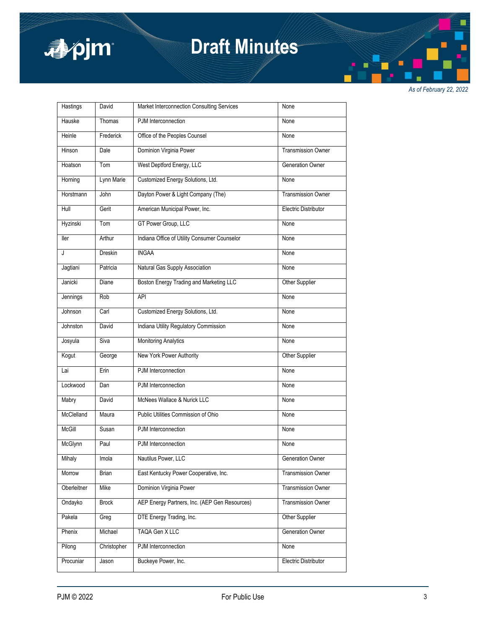

## **Draft Minutes**

*As of February 22, 2022*

| <b>Hastings</b> | David        | Market Interconnection Consulting Services    | None                        |
|-----------------|--------------|-----------------------------------------------|-----------------------------|
| Hauske          | Thomas       | PJM Interconnection                           | None                        |
| Heinle          | Frederick    | Office of the Peoples Counsel                 | None                        |
| Hinson          | Dale         | Dominion Virginia Power                       | <b>Transmission Owner</b>   |
| Hoatson         | Tom          | West Deptford Energy, LLC                     | Generation Owner            |
| Horning         | Lynn Marie   | Customized Energy Solutions, Ltd.             | None                        |
| Horstmann       | John         | Dayton Power & Light Company (The)            | <b>Transmission Owner</b>   |
| Hull            | Gerit        | American Municipal Power, Inc.                | <b>Electric Distributor</b> |
| Hyzinski        | Tom          | GT Power Group, LLC                           | None                        |
| ller            | Arthur       | Indiana Office of Utility Consumer Counselor  | None                        |
| J               | Dreskin      | <b>INGAA</b>                                  | None                        |
| Jagtiani        | Patricia     | Natural Gas Supply Association                | None                        |
| Janicki         | Diane        | Boston Energy Trading and Marketing LLC       | Other Supplier              |
| Jennings        | Rob          | <b>API</b>                                    | None                        |
| Johnson         | Carl         | Customized Energy Solutions, Ltd.             | None                        |
| Johnston        | David        | Indiana Utility Regulatory Commission         | None                        |
| Josyula         | Siva         | <b>Monitoring Analytics</b>                   | None                        |
| Kogut           | George       | New York Power Authority                      | Other Supplier              |
| Lai             | Erin         | PJM Interconnection                           | None                        |
| Lockwood        | Dan          | PJM Interconnection                           | None                        |
| Mabry           | David        | McNees Wallace & Nurick LLC                   | None                        |
| McClelland      | Maura        | Public Utilities Commission of Ohio           | None                        |
| McGill          | Susan        | PJM Interconnection                           | None                        |
| McGlynn         | Paul         | PJM Interconnection                           | None                        |
| Mihaly          | imola        | Nautilus Power, LLC                           | Generation Owner            |
| Morrow          | Brian        | East Kentucky Power Cooperative, Inc.         | Transmission Owner          |
| Oberleitner     | Mike         | Dominion Virginia Power                       | <b>Transmission Owner</b>   |
| Ondayko         | <b>Brock</b> | AEP Energy Partners, Inc. (AEP Gen Resources) | <b>Transmission Owner</b>   |
| Pakela          | Greg         | DTE Energy Trading, Inc.                      | Other Supplier              |
| Phenix          | Michael      | TAQA Gen X LLC                                | Generation Owner            |
| Pilong          | Christopher  | PJM Interconnection                           | None                        |
| Procuniar       | Jason        | Buckeye Power, Inc.                           | <b>Electric Distributor</b> |
|                 |              |                                               |                             |